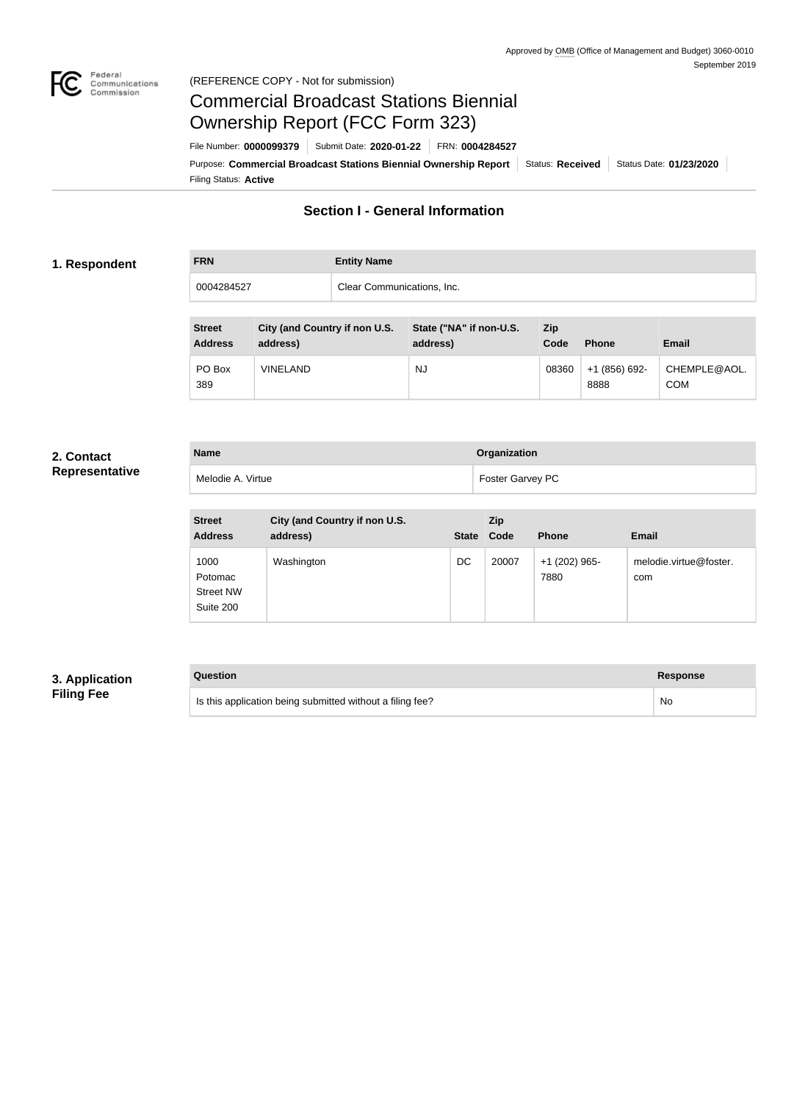

#### Federal<br>Communications<br>Commission (REFERENCE COPY - Not for submission)

## Commercial Broadcast Stations Biennial Ownership Report (FCC Form 323)

Filing Status: **Active** Purpose: Commercial Broadcast Stations Biennial Ownership Report Status: Received Status Date: 01/23/2020 File Number: **0000099379** Submit Date: **2020-01-22** FRN: **0004284527**

## **Section I - General Information**

#### **1. Respondent**

| <b>FRN</b> | <b>Entity Name</b>         |
|------------|----------------------------|
| 0004284527 | Clear Communications, Inc. |

| <b>Street</b><br><b>Address</b> | City (and Country if non U.S.<br>address) | State ("NA" if non-U.S.<br>address) | Zip<br>Code | <b>Phone</b>          | Email                      |
|---------------------------------|-------------------------------------------|-------------------------------------|-------------|-----------------------|----------------------------|
| PO Box<br>389                   | <b>VINELAND</b>                           | NJ                                  | 08360       | +1 (856) 692-<br>8888 | CHEMPLE@AOL.<br><b>COM</b> |

#### **2. Contact Representative**

| <b>Name</b>       | Organization     |
|-------------------|------------------|
| Melodie A. Virtue | Foster Garvey PC |

| <b>Street</b><br><b>Address</b>                  | City (and Country if non U.S.<br>address) | <b>State</b> | Zip<br>Code | <b>Phone</b>          | Email                         |
|--------------------------------------------------|-------------------------------------------|--------------|-------------|-----------------------|-------------------------------|
| 1000<br>Potomac<br><b>Street NW</b><br>Suite 200 | Washington                                | DC           | 20007       | +1 (202) 965-<br>7880 | melodie.virtue@foster.<br>com |

## **3. Application Filing Fee**

# **Question Response** Is this application being submitted without a filing fee? No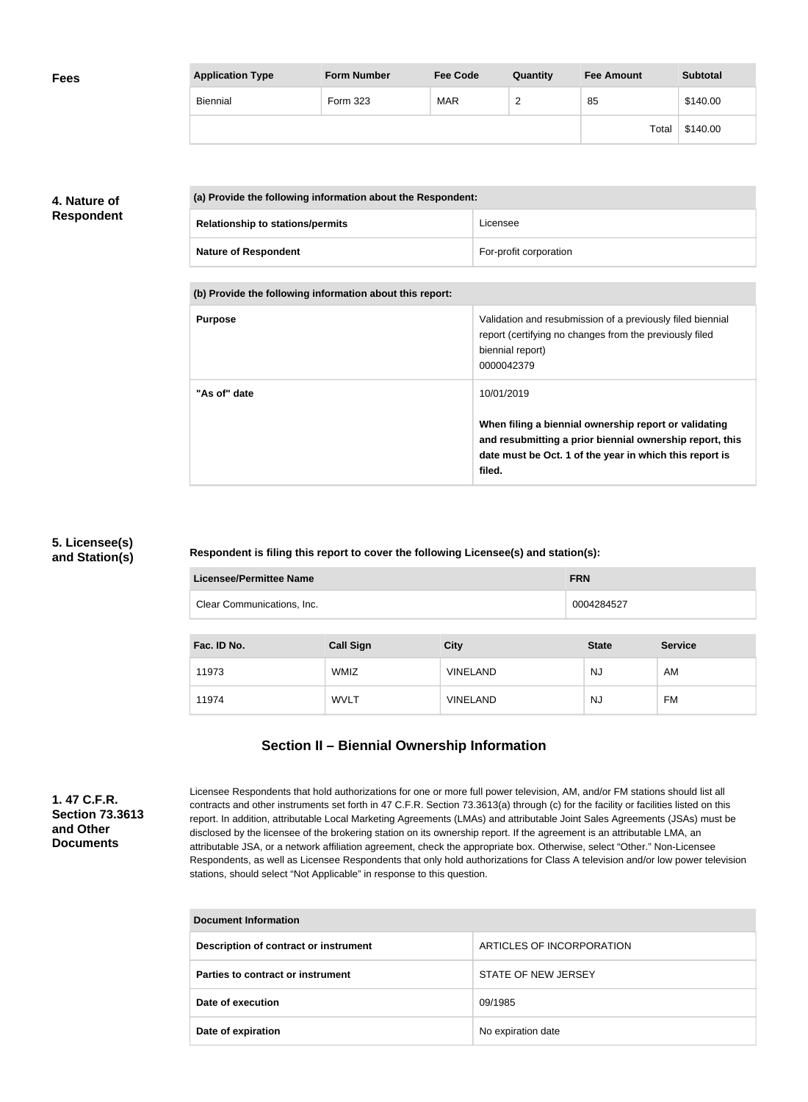| <b>Fees</b> | <b>Application Type</b> | <b>Form Number</b> | <b>Fee Code</b> | Quantity | <b>Fee Amount</b> | <b>Subtotal</b> |
|-------------|-------------------------|--------------------|-----------------|----------|-------------------|-----------------|
|             | Biennial                | Form 323           | <b>MAR</b>      | r<br>-   | 85                | \$140.00        |
|             |                         |                    |                 |          | Total             | \$140.00        |

## **4. Nature of Respondent**

| (a) Provide the following information about the Respondent: |                        |  |
|-------------------------------------------------------------|------------------------|--|
| <b>Relationship to stations/permits</b>                     | Licensee               |  |
| <b>Nature of Respondent</b>                                 | For-profit corporation |  |

**(b) Provide the following information about this report:**

| Validation and resubmission of a previously filed biennial<br>report (certifying no changes from the previously filed                                                        |
|------------------------------------------------------------------------------------------------------------------------------------------------------------------------------|
|                                                                                                                                                                              |
| When filing a biennial ownership report or validating<br>and resubmitting a prior biennial ownership report, this<br>date must be Oct. 1 of the year in which this report is |
|                                                                                                                                                                              |

## **5. Licensee(s) and Station(s)**

**Respondent is filing this report to cover the following Licensee(s) and station(s):**

| <b>Licensee/Permittee Name</b> | <b>FRN</b>       |                 |              |                |
|--------------------------------|------------------|-----------------|--------------|----------------|
| Clear Communications, Inc.     |                  |                 | 0004284527   |                |
|                                |                  |                 |              |                |
| Fac. ID No.                    | <b>Call Sign</b> | <b>City</b>     | <b>State</b> | <b>Service</b> |
| 11973                          | WMIZ             | <b>VINELAND</b> | <b>NJ</b>    | AM             |
| 11974                          | <b>WVLT</b>      | <b>VINELAND</b> | <b>NJ</b>    | FM             |

## **Section II – Biennial Ownership Information**

**1. 47 C.F.R. Section 73.3613 and Other Documents**

Licensee Respondents that hold authorizations for one or more full power television, AM, and/or FM stations should list all contracts and other instruments set forth in 47 C.F.R. Section 73.3613(a) through (c) for the facility or facilities listed on this report. In addition, attributable Local Marketing Agreements (LMAs) and attributable Joint Sales Agreements (JSAs) must be disclosed by the licensee of the brokering station on its ownership report. If the agreement is an attributable LMA, an attributable JSA, or a network affiliation agreement, check the appropriate box. Otherwise, select "Other." Non-Licensee Respondents, as well as Licensee Respondents that only hold authorizations for Class A television and/or low power television stations, should select "Not Applicable" in response to this question.

| Document Information                  |                           |  |  |
|---------------------------------------|---------------------------|--|--|
| Description of contract or instrument | ARTICLES OF INCORPORATION |  |  |
| Parties to contract or instrument     | STATE OF NEW JERSEY       |  |  |
| Date of execution                     | 09/1985                   |  |  |
| Date of expiration                    | No expiration date        |  |  |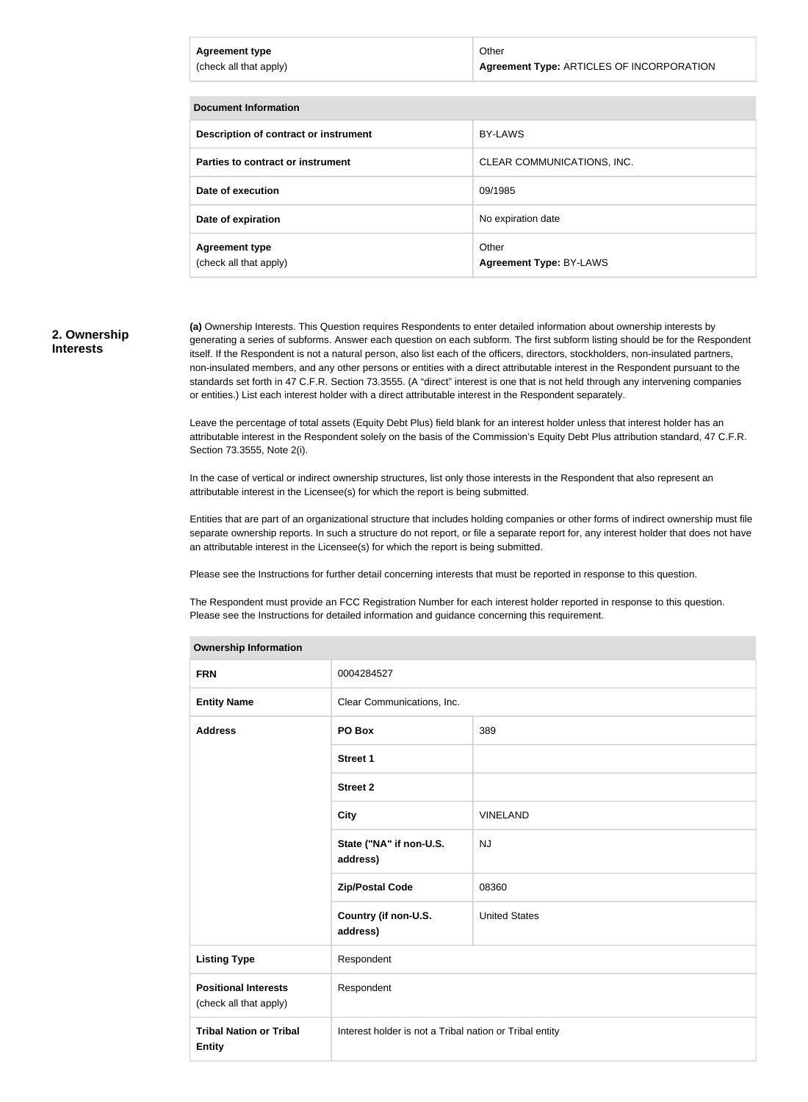| <b>Agreement type</b><br>(check all that apply) | Other<br>Agreement Type: ARTICLES OF INCORPORATION |  |
|-------------------------------------------------|----------------------------------------------------|--|
|                                                 |                                                    |  |
| <b>Document Information</b>                     |                                                    |  |

| Poognicht in onnauon                            |                                  |
|-------------------------------------------------|----------------------------------|
| Description of contract or instrument           | BY-LAWS                          |
| Parties to contract or instrument               | CLEAR COMMUNICATIONS, INC.       |
| Date of execution                               | 09/1985                          |
| Date of expiration                              | No expiration date               |
| <b>Agreement type</b><br>(check all that apply) | Other<br>Agreement Type: BY-LAWS |

#### **2. Ownership Interests**

**(a)** Ownership Interests. This Question requires Respondents to enter detailed information about ownership interests by generating a series of subforms. Answer each question on each subform. The first subform listing should be for the Respondent itself. If the Respondent is not a natural person, also list each of the officers, directors, stockholders, non-insulated partners, non-insulated members, and any other persons or entities with a direct attributable interest in the Respondent pursuant to the standards set forth in 47 C.F.R. Section 73.3555. (A "direct" interest is one that is not held through any intervening companies or entities.) List each interest holder with a direct attributable interest in the Respondent separately.

Leave the percentage of total assets (Equity Debt Plus) field blank for an interest holder unless that interest holder has an attributable interest in the Respondent solely on the basis of the Commission's Equity Debt Plus attribution standard, 47 C.F.R. Section 73.3555, Note 2(i).

In the case of vertical or indirect ownership structures, list only those interests in the Respondent that also represent an attributable interest in the Licensee(s) for which the report is being submitted.

Entities that are part of an organizational structure that includes holding companies or other forms of indirect ownership must file separate ownership reports. In such a structure do not report, or file a separate report for, any interest holder that does not have an attributable interest in the Licensee(s) for which the report is being submitted.

Please see the Instructions for further detail concerning interests that must be reported in response to this question.

The Respondent must provide an FCC Registration Number for each interest holder reported in response to this question. Please see the Instructions for detailed information and guidance concerning this requirement.

| <b>Ownership Information</b>                          |                                                         |                      |  |  |
|-------------------------------------------------------|---------------------------------------------------------|----------------------|--|--|
| <b>FRN</b>                                            | 0004284527                                              |                      |  |  |
| <b>Entity Name</b>                                    | Clear Communications, Inc.                              |                      |  |  |
| <b>Address</b>                                        | PO Box                                                  | 389                  |  |  |
|                                                       | <b>Street 1</b>                                         |                      |  |  |
|                                                       | <b>Street 2</b>                                         |                      |  |  |
|                                                       | <b>City</b>                                             | <b>VINELAND</b>      |  |  |
|                                                       | State ("NA" if non-U.S.<br>address)                     | <b>NJ</b>            |  |  |
|                                                       | <b>Zip/Postal Code</b>                                  | 08360                |  |  |
|                                                       | Country (if non-U.S.<br>address)                        | <b>United States</b> |  |  |
| <b>Listing Type</b>                                   | Respondent                                              |                      |  |  |
| <b>Positional Interests</b><br>(check all that apply) | Respondent                                              |                      |  |  |
| <b>Tribal Nation or Tribal</b><br><b>Entity</b>       | Interest holder is not a Tribal nation or Tribal entity |                      |  |  |

#### **Ownership Information**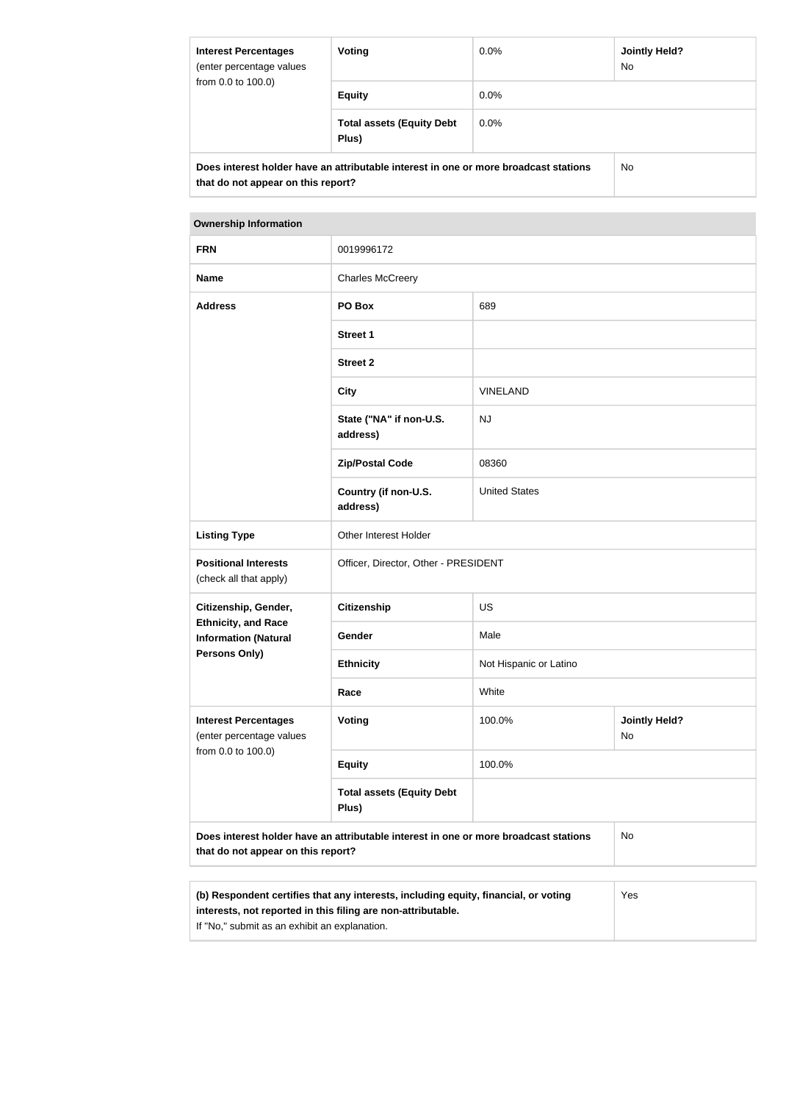| <b>Interest Percentages</b><br>(enter percentage values<br>from 0.0 to 100.0) | Voting                                                                               | $0.0\%$ | <b>Jointly Held?</b><br>No. |
|-------------------------------------------------------------------------------|--------------------------------------------------------------------------------------|---------|-----------------------------|
|                                                                               | <b>Equity</b>                                                                        | $0.0\%$ |                             |
|                                                                               | <b>Total assets (Equity Debt</b><br>Plus)                                            | $0.0\%$ |                             |
| that do not appear on this report?                                            | Does interest holder have an attributable interest in one or more broadcast stations |         | No.                         |

#### **Ownership Information**

| <b>FRN</b>                                                                    | 0019996172                                                                           |                        |                            |
|-------------------------------------------------------------------------------|--------------------------------------------------------------------------------------|------------------------|----------------------------|
| <b>Name</b>                                                                   | <b>Charles McCreery</b>                                                              |                        |                            |
| <b>Address</b>                                                                | PO Box                                                                               | 689                    |                            |
|                                                                               | <b>Street 1</b>                                                                      |                        |                            |
|                                                                               | <b>Street 2</b>                                                                      |                        |                            |
|                                                                               | <b>City</b>                                                                          | <b>VINELAND</b>        |                            |
|                                                                               | State ("NA" if non-U.S.<br>address)                                                  | <b>NJ</b>              |                            |
|                                                                               | <b>Zip/Postal Code</b>                                                               | 08360                  |                            |
|                                                                               | Country (if non-U.S.<br>address)                                                     | <b>United States</b>   |                            |
| <b>Listing Type</b>                                                           | Other Interest Holder                                                                |                        |                            |
| <b>Positional Interests</b><br>(check all that apply)                         | Officer, Director, Other - PRESIDENT                                                 |                        |                            |
| Citizenship, Gender,                                                          | Citizenship                                                                          | <b>US</b>              |                            |
| <b>Ethnicity, and Race</b><br><b>Information (Natural</b>                     | Gender                                                                               | Male                   |                            |
| <b>Persons Only)</b>                                                          | <b>Ethnicity</b>                                                                     | Not Hispanic or Latino |                            |
|                                                                               | Race                                                                                 | White                  |                            |
| <b>Interest Percentages</b><br>(enter percentage values<br>from 0.0 to 100.0) | Voting                                                                               | 100.0%                 | <b>Jointly Held?</b><br>No |
|                                                                               | <b>Equity</b>                                                                        | 100.0%                 |                            |
|                                                                               | <b>Total assets (Equity Debt</b><br>Plus)                                            |                        |                            |
| that do not appear on this report?                                            | Does interest holder have an attributable interest in one or more broadcast stations |                        | No                         |
|                                                                               |                                                                                      |                        |                            |
|                                                                               |                                                                                      |                        |                            |

| (b) Respondent certifies that any interests, including equity, financial, or voting | Yes |
|-------------------------------------------------------------------------------------|-----|
| interests, not reported in this filing are non-attributable.                        |     |
| If "No," submit as an exhibit an explanation.                                       |     |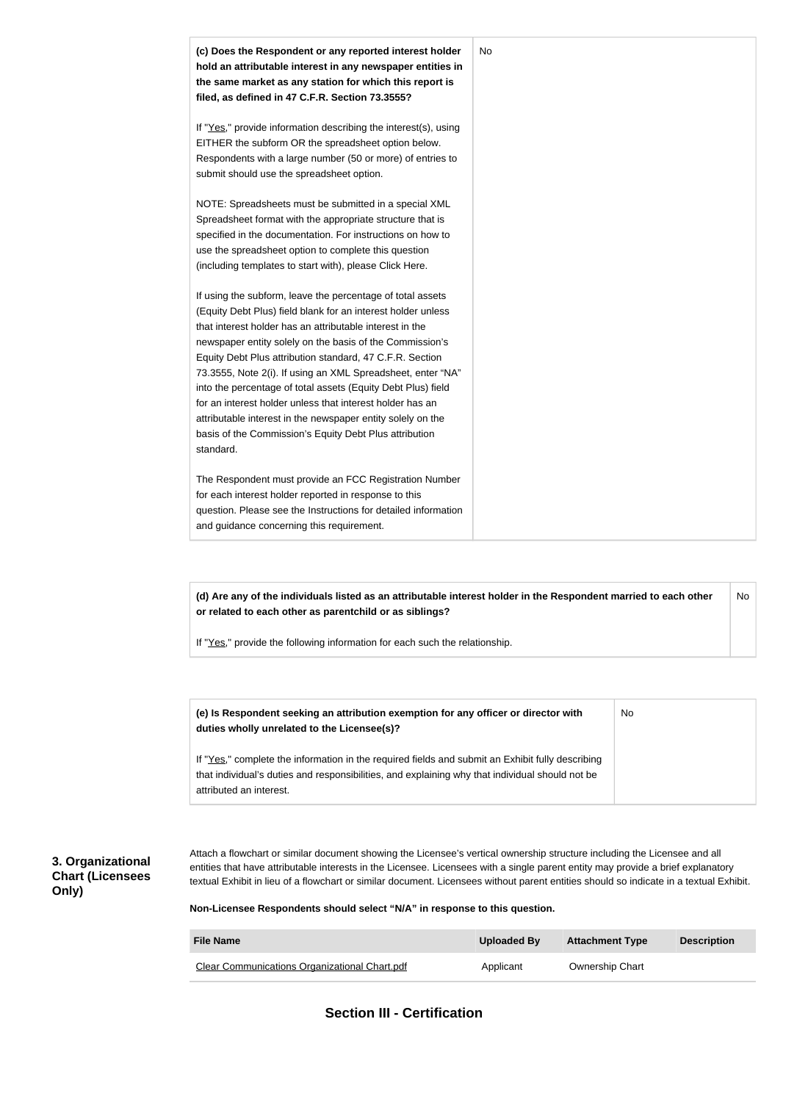

**(d) Are any of the individuals listed as an attributable interest holder in the Respondent married to each other or related to each other as parentchild or as siblings?** No

If "Yes," provide the following information for each such the relationship.

| (e) Is Respondent seeking an attribution exemption for any officer or director with<br>duties wholly unrelated to the Licensee(s)?                                                                                             | No |
|--------------------------------------------------------------------------------------------------------------------------------------------------------------------------------------------------------------------------------|----|
| If "Yes," complete the information in the required fields and submit an Exhibit fully describing<br>that individual's duties and responsibilities, and explaining why that individual should not be<br>attributed an interest. |    |

### **3. Organizational Chart (Licensees Only)**

Attach a flowchart or similar document showing the Licensee's vertical ownership structure including the Licensee and all entities that have attributable interests in the Licensee. Licensees with a single parent entity may provide a brief explanatory textual Exhibit in lieu of a flowchart or similar document. Licensees without parent entities should so indicate in a textual Exhibit.

**Non-Licensee Respondents should select "N/A" in response to this question.**

| <b>File Name</b>                                     | Uploaded By | <b>Attachment Type</b> | <b>Description</b> |
|------------------------------------------------------|-------------|------------------------|--------------------|
| <b>Clear Communications Organizational Chart.pdf</b> | Applicant   | <b>Ownership Chart</b> |                    |